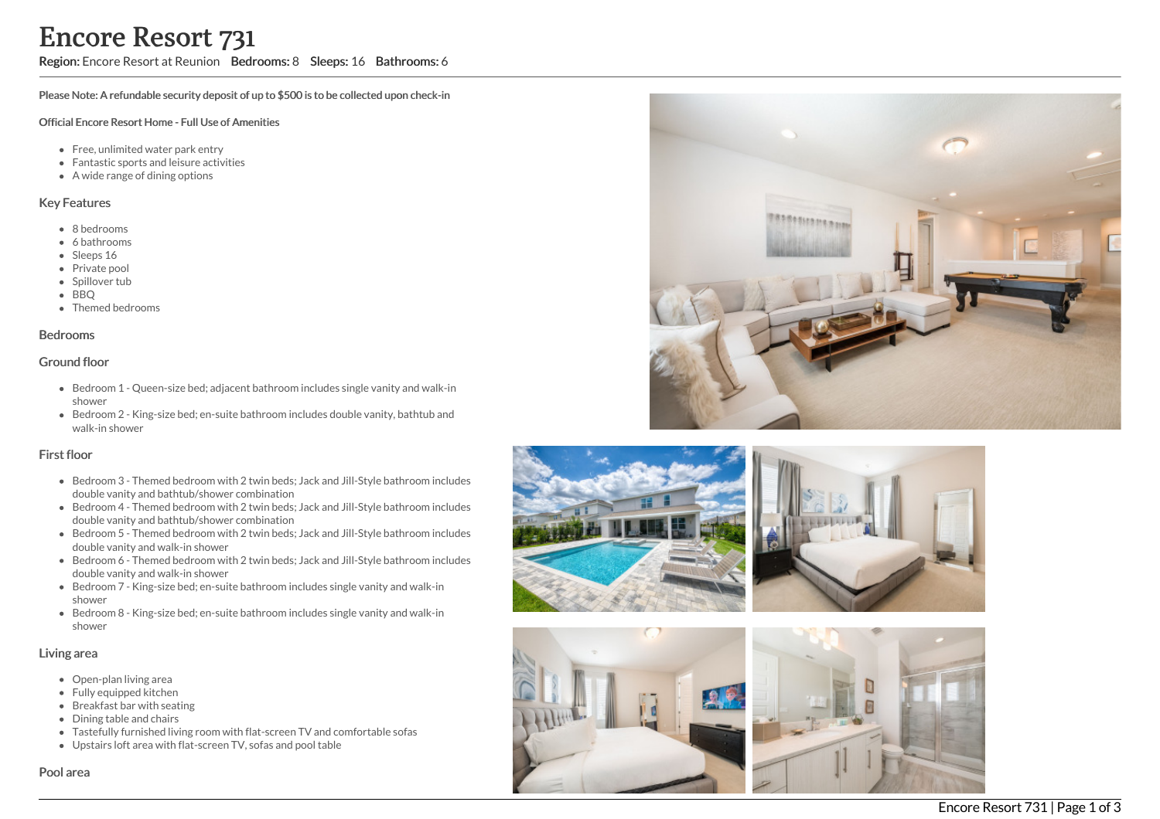Region: Encore Resort at Reunion Bedrooms: 8 Sleeps: 16 Bathrooms: 6

Please Note: A refundable security deposit of up to \$500 is to be collected upon check-in

#### Official Encore Resort Home - Full Use of Amenities

- Free, unlimited water park entry
- Fantastic sports and leisure activities
- A wide range of dining options

#### Key Features

- 8 b e d r o o m s
- 6 bathrooms
- Sleeps 16
- Private pool
- Spillover tub
- BBQ
- Themed bedr o o m s

#### **Bedrooms**

### Ground floor

- Bedroom 1 Queen-size bed; adjacent bathroom includes single vanity and walk-in s h o w e r
- Bedroom 2 King-size bed; en-suite bathroom includes double vanity, bathtub and walk-in shower

#### First floor

- Bedroom 3 Themed bedroom with 2 twin beds; Jack and Jill-Style bathroom includes double vanity and bathtub/shower combination
- Bedroom 4 Themed bedroom with 2 twin beds; Jack and Jill-Style bathroom includes double vanity and bathtub/shower combination
- Bedroom 5 Themed bedroom with 2 twin beds; Jack and Jill-Style bathroom includes double vanity and walk-in shower
- Bedroom 6 Themed bedroom with 2 twin beds; Jack and Jill-Style bathroom includes double vanity and walk-in shower
- Bedroom 7 King-size bed; en-suite bathroom includes single vanity and walk-in s h o w e r
- Bedroom 8 King-size bed; en-suite bathroom includes single vanity and walk-in s h o w e r

#### Living area

- Open-plan living area
- Fully equipped kitchen
- Breakfast bar with seating
- Dining table and chairs
- Tastefully furnished living room with flat-screen TV and comfortable sofas
- Upstairs loft area with flat-screen TV, sofas and pool table









### Pool area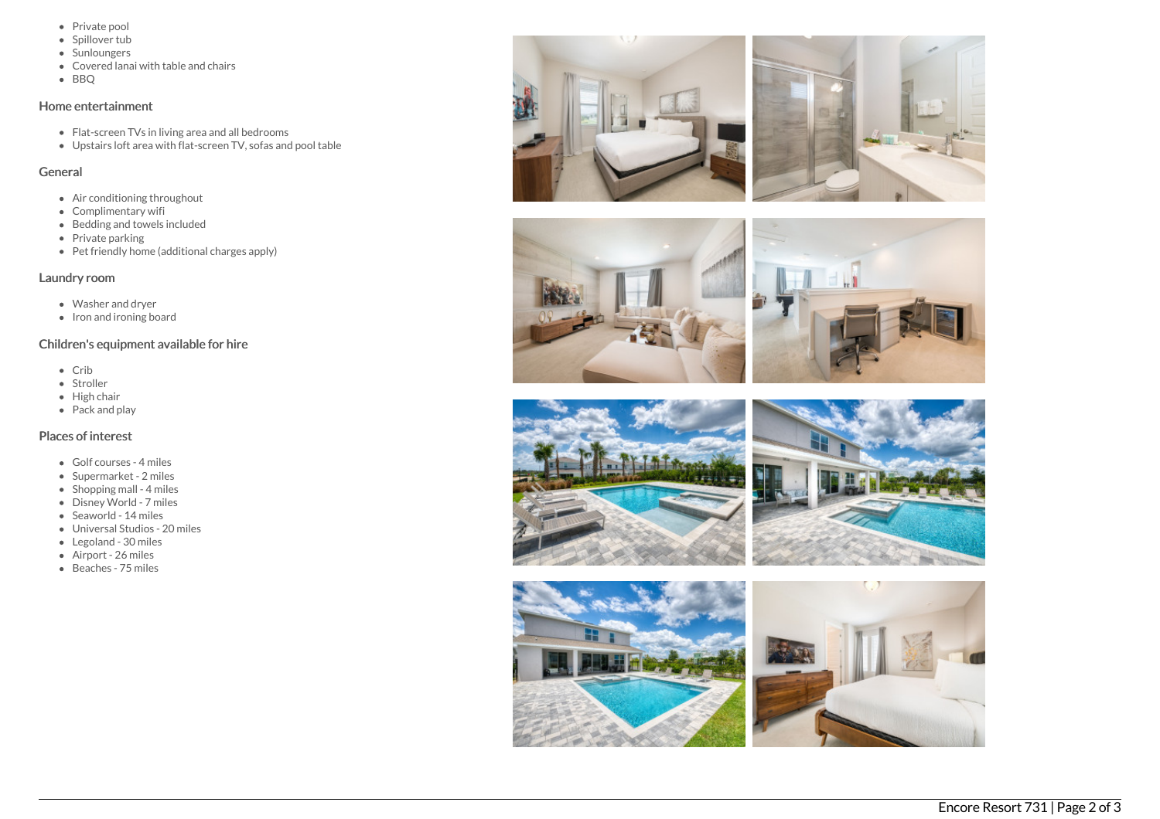- Private pool
- Spillover tub
- Sunloungers
- Covered lanai with table and chairs
- B B Q

## Home entertainment

- Flat-screen TVs in living area and all bedrooms
- Upstairs loft area with flat-screen TV, sofas and pool table

## General

- Air conditioning throughout
- Complimentary wifi
- Bedding and towels in clu d e d
- Private parking
- Pet friendly home (additional charges apply)

# Laundry room

- Washer and dryer
- Iron and ironing board

# Children's equipment available for hire

- C rib
- Stroller
- Hig h c h air
- Pack and play

# Places of interest

- Golf courses 4 miles
- Supermarket 2 miles
- Shopping mall 4 miles
- Disney World 7 miles
- Seaworld 14 miles
- Universal Studios 20 miles
- Legoland 30 miles
- Airport 26 miles
- B e a c h e s 7 5 mile s